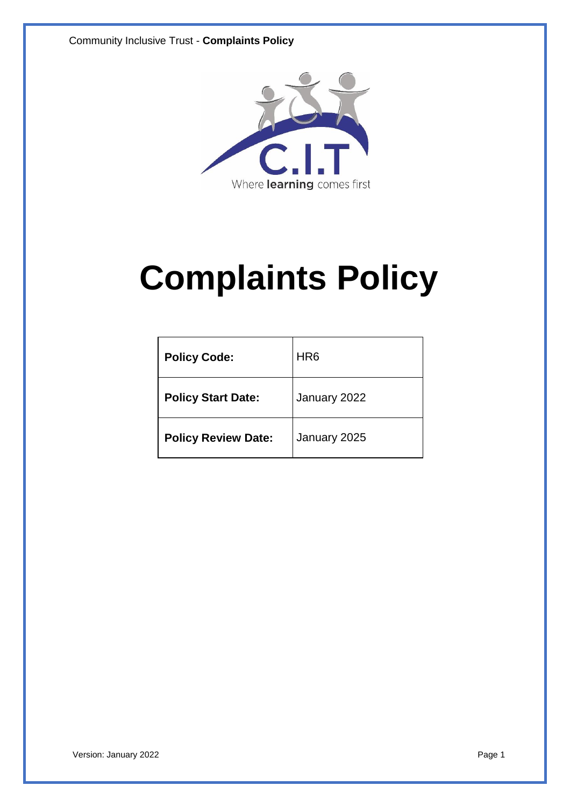Community Inclusive Trust - **Complaints Policy**



# **Complaints Policy**

| <b>Policy Code:</b>        | HR <sub>6</sub> |
|----------------------------|-----------------|
| <b>Policy Start Date:</b>  | January 2022    |
| <b>Policy Review Date:</b> | January 2025    |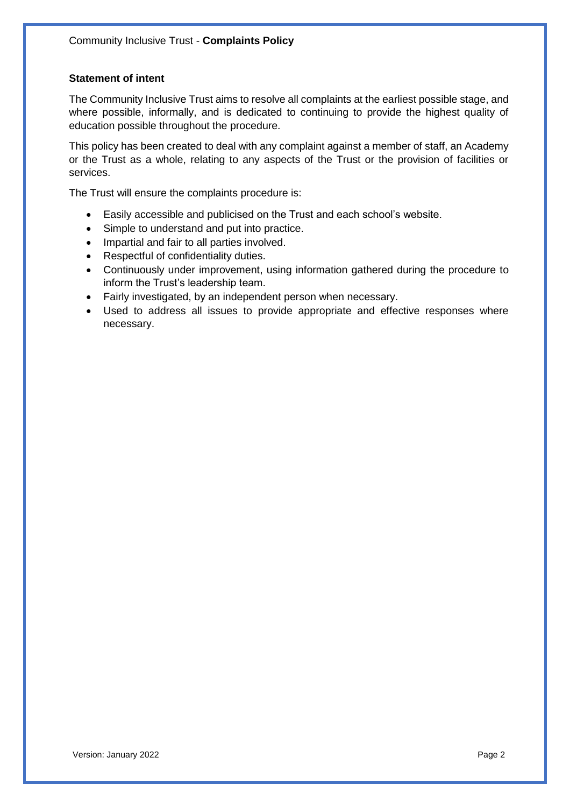# **Statement of intent**

The Community Inclusive Trust aims to resolve all complaints at the earliest possible stage, and where possible, informally, and is dedicated to continuing to provide the highest quality of education possible throughout the procedure.

This policy has been created to deal with any complaint against a member of staff, an Academy or the Trust as a whole, relating to any aspects of the Trust or the provision of facilities or services.

The Trust will ensure the complaints procedure is:

- Easily accessible and publicised on the Trust and each school's website.
- Simple to understand and put into practice.
- Impartial and fair to all parties involved.
- Respectful of confidentiality duties.
- Continuously under improvement, using information gathered during the procedure to inform the Trust's leadership team.
- Fairly investigated, by an independent person when necessary.
- Used to address all issues to provide appropriate and effective responses where necessary.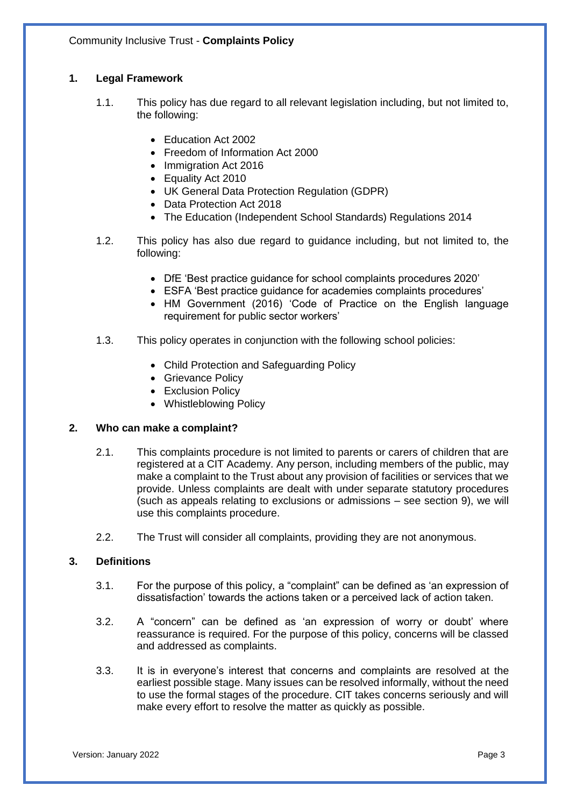# **1. Legal Framework**

- 1.1. This policy has due regard to all relevant legislation including, but not limited to, the following:
	- Education Act 2002
	- Freedom of Information Act 2000
	- Immigration Act 2016
	- Equality Act 2010
	- UK General Data Protection Regulation (GDPR)
	- Data Protection Act 2018
	- The Education (Independent School Standards) Regulations 2014
- 1.2. This policy has also due regard to guidance including, but not limited to, the following:
	- DfE 'Best practice guidance for school complaints procedures 2020'
	- ESFA 'Best practice guidance for academies complaints procedures'
	- HM Government (2016) 'Code of Practice on the English language requirement for public sector workers'
- 1.3. This policy operates in conjunction with the following school policies:
	- Child Protection and Safeguarding Policy
	- Grievance Policy
	- Exclusion Policy
	- Whistleblowing Policy

# **2. Who can make a complaint?**

- 2.1. This complaints procedure is not limited to parents or carers of children that are registered at a CIT Academy. Any person, including members of the public, may make a complaint to the Trust about any provision of facilities or services that we provide. Unless complaints are dealt with under separate statutory procedures (such as appeals relating to exclusions or admissions – see section 9), we will use this complaints procedure.
- 2.2. The Trust will consider all complaints, providing they are not anonymous.

# **3. Definitions**

- 3.1. For the purpose of this policy, a "complaint" can be defined as 'an expression of dissatisfaction' towards the actions taken or a perceived lack of action taken.
- 3.2. A "concern" can be defined as 'an expression of worry or doubt' where reassurance is required. For the purpose of this policy, concerns will be classed and addressed as complaints.
- 3.3. It is in everyone's interest that concerns and complaints are resolved at the earliest possible stage. Many issues can be resolved informally, without the need to use the formal stages of the procedure. CIT takes concerns seriously and will make every effort to resolve the matter as quickly as possible.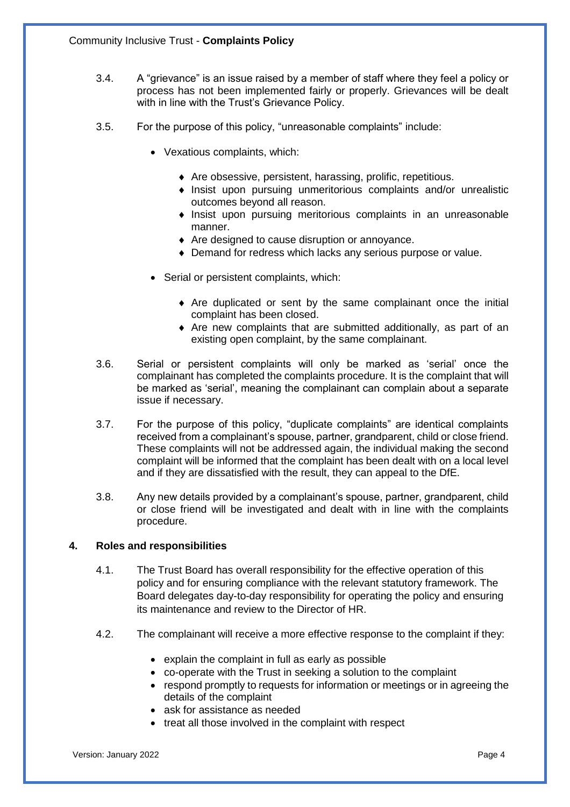- 3.4. A "grievance" is an issue raised by a member of staff where they feel a policy or process has not been implemented fairly or properly. Grievances will be dealt with in line with the Trust's Grievance Policy.
- 3.5. For the purpose of this policy, "unreasonable complaints" include:
	- Vexatious complaints, which:
		- Are obsessive, persistent, harassing, prolific, repetitious.
		- Insist upon pursuing unmeritorious complaints and/or unrealistic outcomes beyond all reason.
		- $\bullet$  Insist upon pursuing meritorious complaints in an unreasonable manner.
		- Are designed to cause disruption or annoyance.
		- Demand for redress which lacks any serious purpose or value.
	- Serial or persistent complaints, which:
		- Are duplicated or sent by the same complainant once the initial complaint has been closed.
		- Are new complaints that are submitted additionally, as part of an existing open complaint, by the same complainant.
- 3.6. Serial or persistent complaints will only be marked as 'serial' once the complainant has completed the complaints procedure. It is the complaint that will be marked as 'serial', meaning the complainant can complain about a separate issue if necessary.
- 3.7. For the purpose of this policy, "duplicate complaints" are identical complaints received from a complainant's spouse, partner, grandparent, child or close friend. These complaints will not be addressed again, the individual making the second complaint will be informed that the complaint has been dealt with on a local level and if they are dissatisfied with the result, they can appeal to the DfE.
- 3.8. Any new details provided by a complainant's spouse, partner, grandparent, child or close friend will be investigated and dealt with in line with the complaints procedure.

# **4. Roles and responsibilities**

- 4.1. The Trust Board has overall responsibility for the effective operation of this policy and for ensuring compliance with the relevant statutory framework. The Board delegates day-to-day responsibility for operating the policy and ensuring its maintenance and review to the Director of HR.
- 4.2. The complainant will receive a more effective response to the complaint if they:
	- explain the complaint in full as early as possible
	- co-operate with the Trust in seeking a solution to the complaint
	- respond promptly to requests for information or meetings or in agreeing the details of the complaint
	- ask for assistance as needed
	- treat all those involved in the complaint with respect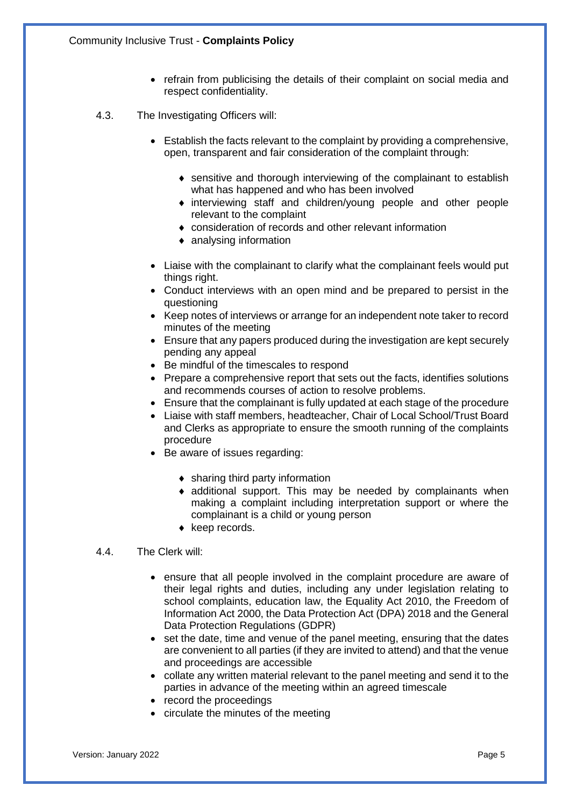- refrain from publicising the details of their complaint on social media and respect confidentiality.
- 4.3. The Investigating Officers will:
	- Establish the facts relevant to the complaint by providing a comprehensive, open, transparent and fair consideration of the complaint through:
		- sensitive and thorough interviewing of the complainant to establish what has happened and who has been involved
		- interviewing staff and children/young people and other people relevant to the complaint
		- consideration of records and other relevant information
		- analysing information
	- Liaise with the complainant to clarify what the complainant feels would put things right.
	- Conduct interviews with an open mind and be prepared to persist in the questioning
	- Keep notes of interviews or arrange for an independent note taker to record minutes of the meeting
	- Ensure that any papers produced during the investigation are kept securely pending any appeal
	- Be mindful of the timescales to respond
	- Prepare a comprehensive report that sets out the facts, identifies solutions and recommends courses of action to resolve problems.
	- Ensure that the complainant is fully updated at each stage of the procedure
	- Liaise with staff members, headteacher, Chair of Local School/Trust Board and Clerks as appropriate to ensure the smooth running of the complaints procedure
	- Be aware of issues regarding:
		- sharing third party information
		- additional support. This may be needed by complainants when making a complaint including interpretation support or where the complainant is a child or young person
		- $\bullet$  keep records.

#### 4.4. The Clerk will:

- ensure that all people involved in the complaint procedure are aware of their legal rights and duties, including any under legislation relating to school complaints, education law, the Equality Act 2010, the Freedom of Information Act 2000, the Data Protection Act (DPA) 2018 and the General Data Protection Regulations (GDPR)
- set the date, time and venue of the panel meeting, ensuring that the dates are convenient to all parties (if they are invited to attend) and that the venue and proceedings are accessible
- collate any written material relevant to the panel meeting and send it to the parties in advance of the meeting within an agreed timescale
- record the proceedings
- circulate the minutes of the meeting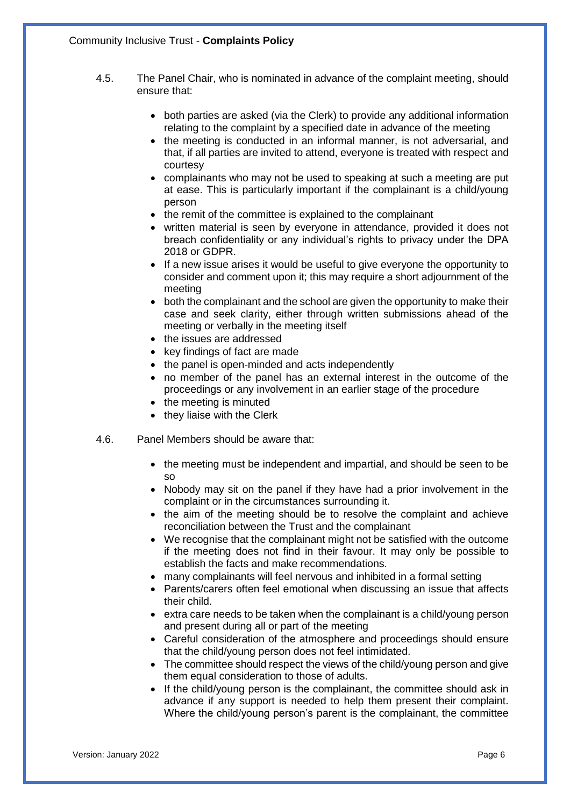- 4.5. The Panel Chair, who is nominated in advance of the complaint meeting, should ensure that:
	- both parties are asked (via the Clerk) to provide any additional information relating to the complaint by a specified date in advance of the meeting
	- the meeting is conducted in an informal manner, is not adversarial, and that, if all parties are invited to attend, everyone is treated with respect and courtesy
	- complainants who may not be used to speaking at such a meeting are put at ease. This is particularly important if the complainant is a child/young person
	- the remit of the committee is explained to the complainant
	- written material is seen by everyone in attendance, provided it does not breach confidentiality or any individual's rights to privacy under the DPA 2018 or GDPR.
	- If a new issue arises it would be useful to give everyone the opportunity to consider and comment upon it; this may require a short adjournment of the meeting
	- both the complainant and the school are given the opportunity to make their case and seek clarity, either through written submissions ahead of the meeting or verbally in the meeting itself
	- the issues are addressed
	- key findings of fact are made
	- the panel is open-minded and acts independently
	- no member of the panel has an external interest in the outcome of the proceedings or any involvement in an earlier stage of the procedure
	- the meeting is minuted
	- they liaise with the Clerk
- 4.6. Panel Members should be aware that:
	- the meeting must be independent and impartial, and should be seen to be so
	- Nobody may sit on the panel if they have had a prior involvement in the complaint or in the circumstances surrounding it.
	- the aim of the meeting should be to resolve the complaint and achieve reconciliation between the Trust and the complainant
	- We recognise that the complainant might not be satisfied with the outcome if the meeting does not find in their favour. It may only be possible to establish the facts and make recommendations.
	- many complainants will feel nervous and inhibited in a formal setting
	- Parents/carers often feel emotional when discussing an issue that affects their child.
	- extra care needs to be taken when the complainant is a child/young person and present during all or part of the meeting
	- Careful consideration of the atmosphere and proceedings should ensure that the child/young person does not feel intimidated.
	- The committee should respect the views of the child/young person and give them equal consideration to those of adults.
	- If the child/young person is the complainant, the committee should ask in advance if any support is needed to help them present their complaint. Where the child/young person's parent is the complainant, the committee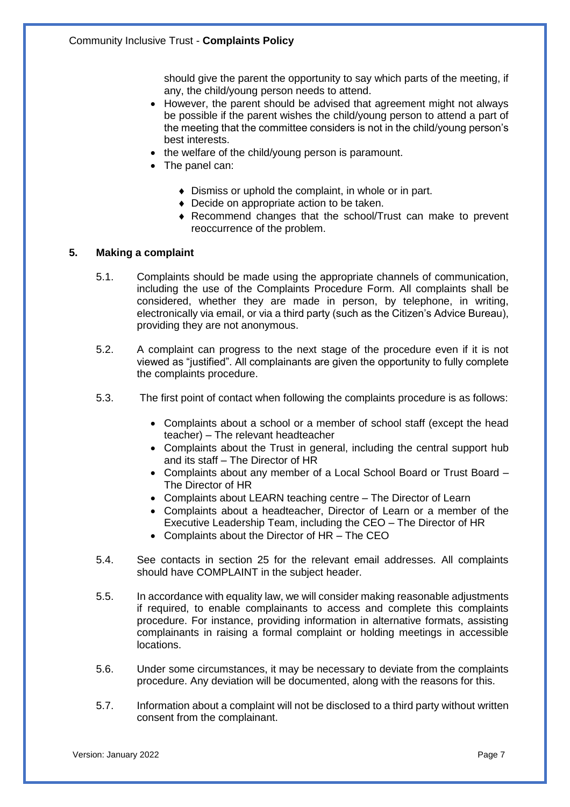should give the parent the opportunity to say which parts of the meeting, if any, the child/young person needs to attend.

- However, the parent should be advised that agreement might not always be possible if the parent wishes the child/young person to attend a part of the meeting that the committee considers is not in the child/young person's best interests.
- the welfare of the child/young person is paramount.
- The panel can:
	- Dismiss or uphold the complaint, in whole or in part.
	- Decide on appropriate action to be taken.
	- Recommend changes that the school/Trust can make to prevent reoccurrence of the problem.

#### **5. Making a complaint**

- 5.1. Complaints should be made using the appropriate channels of communication, including the use of the Complaints Procedure Form. All complaints shall be considered, whether they are made in person, by telephone, in writing, electronically via email, or via a third party (such as the Citizen's Advice Bureau), providing they are not anonymous.
- 5.2. A complaint can progress to the next stage of the procedure even if it is not viewed as "justified". All complainants are given the opportunity to fully complete the complaints procedure.
- 5.3. The first point of contact when following the complaints procedure is as follows:
	- Complaints about a school or a member of school staff (except the head teacher) – The relevant headteacher
	- Complaints about the Trust in general, including the central support hub and its staff – The Director of HR
	- Complaints about any member of a Local School Board or Trust Board The Director of HR
	- Complaints about LEARN teaching centre The Director of Learn
	- Complaints about a headteacher, Director of Learn or a member of the Executive Leadership Team, including the CEO – The Director of HR
	- Complaints about the Director of HR The CEO
- 5.4. See contacts in section 25 for the relevant email addresses. All complaints should have COMPLAINT in the subject header.
- 5.5. In accordance with equality law, we will consider making reasonable adjustments if required, to enable complainants to access and complete this complaints procedure. For instance, providing information in alternative formats, assisting complainants in raising a formal complaint or holding meetings in accessible locations.
- 5.6. Under some circumstances, it may be necessary to deviate from the complaints procedure. Any deviation will be documented, along with the reasons for this.
- 5.7. Information about a complaint will not be disclosed to a third party without written consent from the complainant.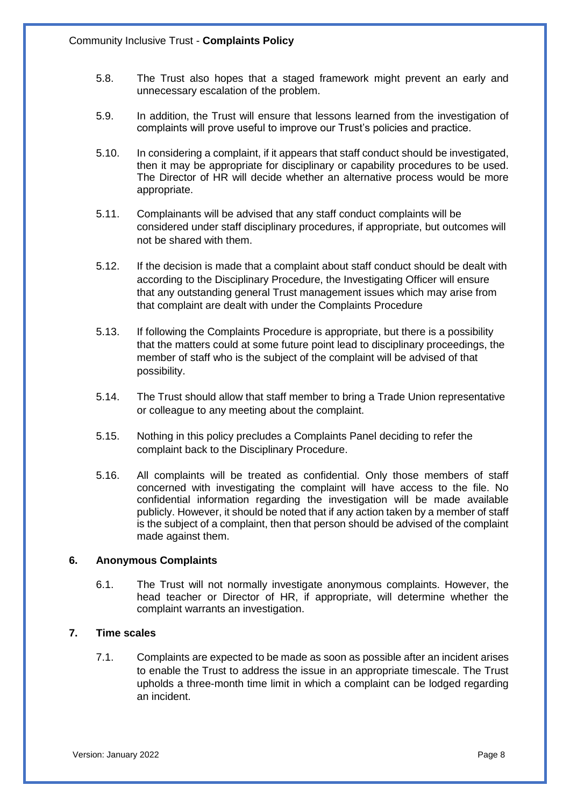- 5.8. The Trust also hopes that a staged framework might prevent an early and unnecessary escalation of the problem.
- 5.9. In addition, the Trust will ensure that lessons learned from the investigation of complaints will prove useful to improve our Trust's policies and practice.
- 5.10. In considering a complaint, if it appears that staff conduct should be investigated, then it may be appropriate for disciplinary or capability procedures to be used. The Director of HR will decide whether an alternative process would be more appropriate.
- 5.11. Complainants will be advised that any staff conduct complaints will be considered under staff disciplinary procedures, if appropriate, but outcomes will not be shared with them.
- 5.12. If the decision is made that a complaint about staff conduct should be dealt with according to the Disciplinary Procedure, the Investigating Officer will ensure that any outstanding general Trust management issues which may arise from that complaint are dealt with under the Complaints Procedure
- 5.13. If following the Complaints Procedure is appropriate, but there is a possibility that the matters could at some future point lead to disciplinary proceedings, the member of staff who is the subject of the complaint will be advised of that possibility.
- 5.14. The Trust should allow that staff member to bring a Trade Union representative or colleague to any meeting about the complaint.
- 5.15. Nothing in this policy precludes a Complaints Panel deciding to refer the complaint back to the Disciplinary Procedure.
- 5.16. All complaints will be treated as confidential. Only those members of staff concerned with investigating the complaint will have access to the file. No confidential information regarding the investigation will be made available publicly. However, it should be noted that if any action taken by a member of staff is the subject of a complaint, then that person should be advised of the complaint made against them.

# **6. Anonymous Complaints**

6.1. The Trust will not normally investigate anonymous complaints. However, the head teacher or Director of HR, if appropriate, will determine whether the complaint warrants an investigation.

# **7. Time scales**

7.1. Complaints are expected to be made as soon as possible after an incident arises to enable the Trust to address the issue in an appropriate timescale. The Trust upholds a three-month time limit in which a complaint can be lodged regarding an incident.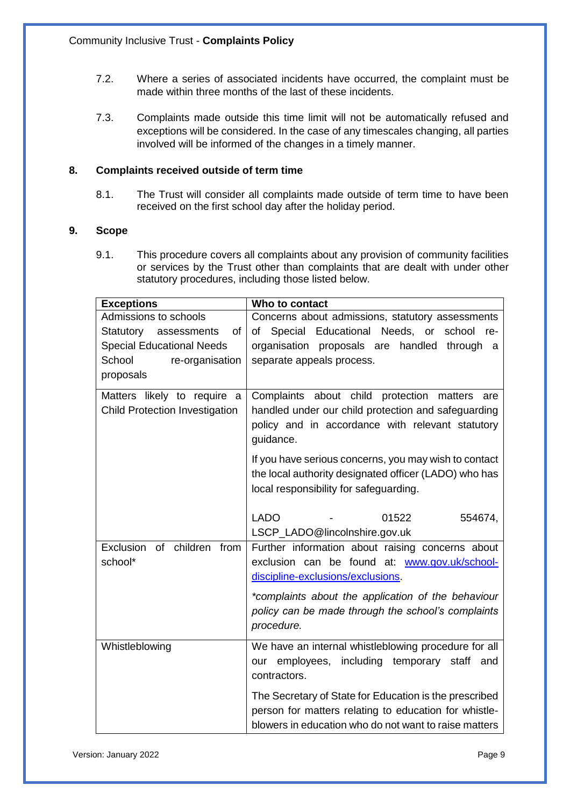- 7.2. Where a series of associated incidents have occurred, the complaint must be made within three months of the last of these incidents.
- 7.3. Complaints made outside this time limit will not be automatically refused and exceptions will be considered. In the case of any timescales changing, all parties involved will be informed of the changes in a timely manner.

# **8. Complaints received outside of term time**

8.1. The Trust will consider all complaints made outside of term time to have been received on the first school day after the holiday period.

# **9. Scope**

9.1. This procedure covers all complaints about any provision of community facilities or services by the Trust other than complaints that are dealt with under other statutory procedures, including those listed below.

| <b>Exceptions</b>                     | Who to contact                                                  |  |  |
|---------------------------------------|-----------------------------------------------------------------|--|--|
| Admissions to schools                 | Concerns about admissions, statutory assessments                |  |  |
| Statutory assessments<br>οf           | of Special Educational Needs, or<br>school re-                  |  |  |
| <b>Special Educational Needs</b>      | organisation proposals are<br>handled<br>through<br>a           |  |  |
| School<br>re-organisation             | separate appeals process.                                       |  |  |
| proposals                             |                                                                 |  |  |
| Matters likely to require a           | Complaints about child protection matters<br>are                |  |  |
| <b>Child Protection Investigation</b> | handled under our child protection and safeguarding             |  |  |
|                                       | policy and in accordance with relevant statutory<br>guidance.   |  |  |
|                                       | If you have serious concerns, you may wish to contact           |  |  |
|                                       | the local authority designated officer (LADO) who has           |  |  |
|                                       | local responsibility for safeguarding.                          |  |  |
|                                       | <b>LADO</b><br>01522<br>554674,                                 |  |  |
|                                       | LSCP_LADO@lincolnshire.gov.uk                                   |  |  |
| of children from<br>Exclusion         | Further information about raising concerns about                |  |  |
| school*                               | exclusion can be found at: www.gov.uk/school-                   |  |  |
|                                       | discipline-exclusions/exclusions.                               |  |  |
|                                       | *complaints about the application of the behaviour              |  |  |
|                                       | policy can be made through the school's complaints              |  |  |
|                                       | procedure.                                                      |  |  |
| Whistleblowing                        | We have an internal whistleblowing procedure for all            |  |  |
|                                       | including temporary staff and<br>our employees,<br>contractors. |  |  |
|                                       | The Secretary of State for Education is the prescribed          |  |  |
|                                       | person for matters relating to education for whistle-           |  |  |
|                                       | blowers in education who do not want to raise matters           |  |  |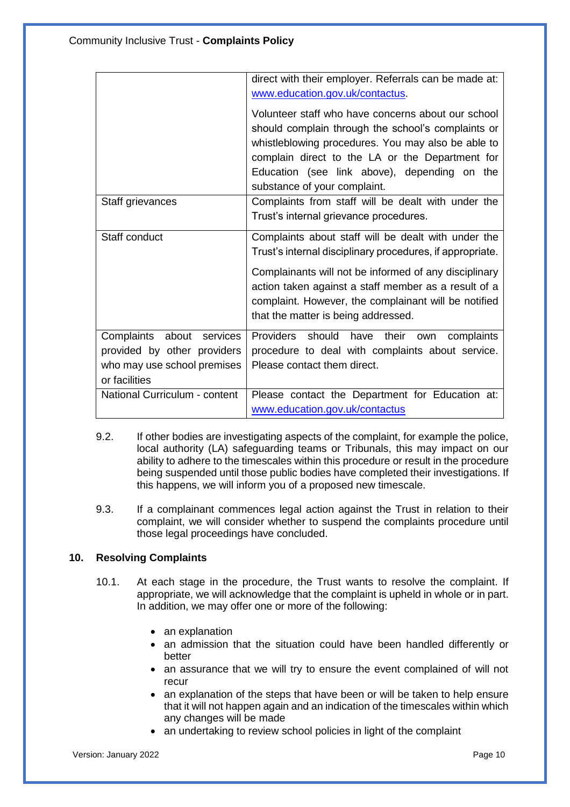|                                                                                                          | direct with their employer. Referrals can be made at:                                                                                                                                                                                                                                                                            |  |  |
|----------------------------------------------------------------------------------------------------------|----------------------------------------------------------------------------------------------------------------------------------------------------------------------------------------------------------------------------------------------------------------------------------------------------------------------------------|--|--|
|                                                                                                          | www.education.gov.uk/contactus.                                                                                                                                                                                                                                                                                                  |  |  |
|                                                                                                          | Volunteer staff who have concerns about our school<br>should complain through the school's complaints or<br>whistleblowing procedures. You may also be able to<br>complain direct to the LA or the Department for<br>Education (see link above), depending on the<br>substance of your complaint.                                |  |  |
| Staff grievances                                                                                         | Complaints from staff will be dealt with under the                                                                                                                                                                                                                                                                               |  |  |
|                                                                                                          | Trust's internal grievance procedures.                                                                                                                                                                                                                                                                                           |  |  |
| Staff conduct                                                                                            | Complaints about staff will be dealt with under the<br>Trust's internal disciplinary procedures, if appropriate.<br>Complainants will not be informed of any disciplinary<br>action taken against a staff member as a result of a<br>complaint. However, the complainant will be notified<br>that the matter is being addressed. |  |  |
| Complaints about services<br>provided by other providers<br>who may use school premises<br>or facilities | Providers should have their own<br>complaints<br>procedure to deal with complaints about service.<br>Please contact them direct.                                                                                                                                                                                                 |  |  |
| National Curriculum - content                                                                            | Please contact the Department for Education at:<br>www.education.gov.uk/contactus                                                                                                                                                                                                                                                |  |  |
|                                                                                                          |                                                                                                                                                                                                                                                                                                                                  |  |  |

- 9.2. If other bodies are investigating aspects of the complaint, for example the police, local authority (LA) safeguarding teams or Tribunals, this may impact on our ability to adhere to the timescales within this procedure or result in the procedure being suspended until those public bodies have completed their investigations. If this happens, we will inform you of a proposed new timescale.
- 9.3. If a complainant commences legal action against the Trust in relation to their complaint, we will consider whether to suspend the complaints procedure until those legal proceedings have concluded.

# **10. Resolving Complaints**

- 10.1. At each stage in the procedure, the Trust wants to resolve the complaint. If appropriate, we will acknowledge that the complaint is upheld in whole or in part. In addition, we may offer one or more of the following:
	- an explanation
	- an admission that the situation could have been handled differently or better
	- an assurance that we will try to ensure the event complained of will not recur
	- an explanation of the steps that have been or will be taken to help ensure that it will not happen again and an indication of the timescales within which any changes will be made
	- an undertaking to review school policies in light of the complaint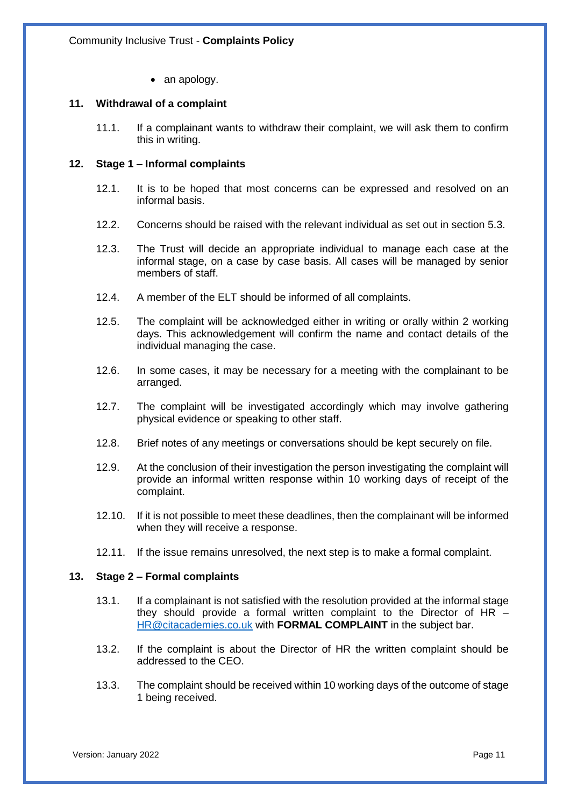• an apology.

#### **11. Withdrawal of a complaint**

11.1. If a complainant wants to withdraw their complaint, we will ask them to confirm this in writing.

#### **12. Stage 1 – Informal complaints**

- 12.1. It is to be hoped that most concerns can be expressed and resolved on an informal basis.
- 12.2. Concerns should be raised with the relevant individual as set out in section 5.3.
- 12.3. The Trust will decide an appropriate individual to manage each case at the informal stage, on a case by case basis. All cases will be managed by senior members of staff.
- 12.4. A member of the ELT should be informed of all complaints.
- 12.5. The complaint will be acknowledged either in writing or orally within 2 working days. This acknowledgement will confirm the name and contact details of the individual managing the case.
- 12.6. In some cases, it may be necessary for a meeting with the complainant to be arranged.
- 12.7. The complaint will be investigated accordingly which may involve gathering physical evidence or speaking to other staff.
- 12.8. Brief notes of any meetings or conversations should be kept securely on file.
- 12.9. At the conclusion of their investigation the person investigating the complaint will provide an informal written response within 10 working days of receipt of the complaint.
- 12.10. If it is not possible to meet these deadlines, then the complainant will be informed when they will receive a response.
- 12.11. If the issue remains unresolved, the next step is to make a formal complaint.

#### **13. Stage 2 – Formal complaints**

- 13.1. If a complainant is not satisfied with the resolution provided at the informal stage they should provide a formal written complaint to the Director of HR – [HR@citacademies.co.uk](mailto:HR@citacademies.co.uk) with **FORMAL COMPLAINT** in the subject bar.
- 13.2. If the complaint is about the Director of HR the written complaint should be addressed to the CEO.
- 13.3. The complaint should be received within 10 working days of the outcome of stage 1 being received.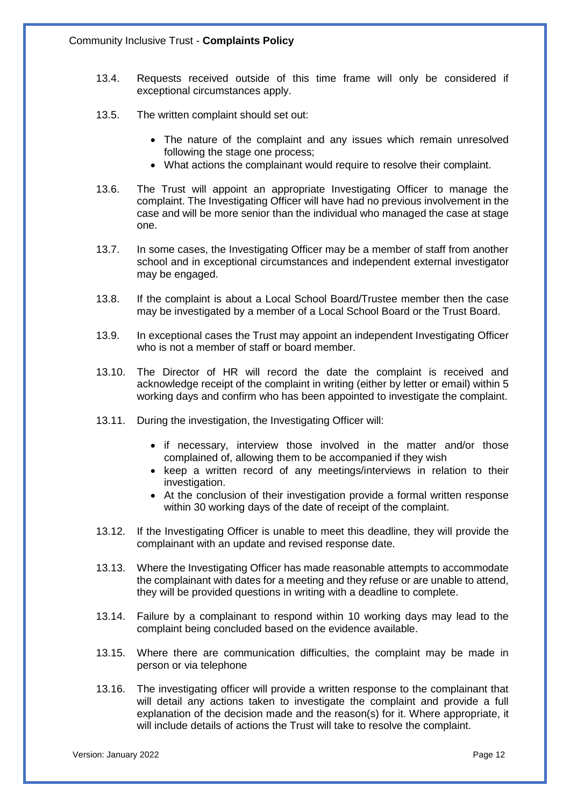- 13.4. Requests received outside of this time frame will only be considered if exceptional circumstances apply.
- 13.5. The written complaint should set out:
	- The nature of the complaint and any issues which remain unresolved following the stage one process;
	- What actions the complainant would require to resolve their complaint.
- 13.6. The Trust will appoint an appropriate Investigating Officer to manage the complaint. The Investigating Officer will have had no previous involvement in the case and will be more senior than the individual who managed the case at stage one.
- 13.7. In some cases, the Investigating Officer may be a member of staff from another school and in exceptional circumstances and independent external investigator may be engaged.
- 13.8. If the complaint is about a Local School Board/Trustee member then the case may be investigated by a member of a Local School Board or the Trust Board.
- 13.9. In exceptional cases the Trust may appoint an independent Investigating Officer who is not a member of staff or board member.
- 13.10. The Director of HR will record the date the complaint is received and acknowledge receipt of the complaint in writing (either by letter or email) within 5 working days and confirm who has been appointed to investigate the complaint.
- 13.11. During the investigation, the Investigating Officer will:
	- if necessary, interview those involved in the matter and/or those complained of, allowing them to be accompanied if they wish
	- keep a written record of any meetings/interviews in relation to their investigation.
	- At the conclusion of their investigation provide a formal written response within 30 working days of the date of receipt of the complaint.
- 13.12. If the Investigating Officer is unable to meet this deadline, they will provide the complainant with an update and revised response date.
- 13.13. Where the Investigating Officer has made reasonable attempts to accommodate the complainant with dates for a meeting and they refuse or are unable to attend, they will be provided questions in writing with a deadline to complete.
- 13.14. Failure by a complainant to respond within 10 working days may lead to the complaint being concluded based on the evidence available.
- 13.15. Where there are communication difficulties, the complaint may be made in person or via telephone
- 13.16. The investigating officer will provide a written response to the complainant that will detail any actions taken to investigate the complaint and provide a full explanation of the decision made and the reason(s) for it. Where appropriate, it will include details of actions the Trust will take to resolve the complaint.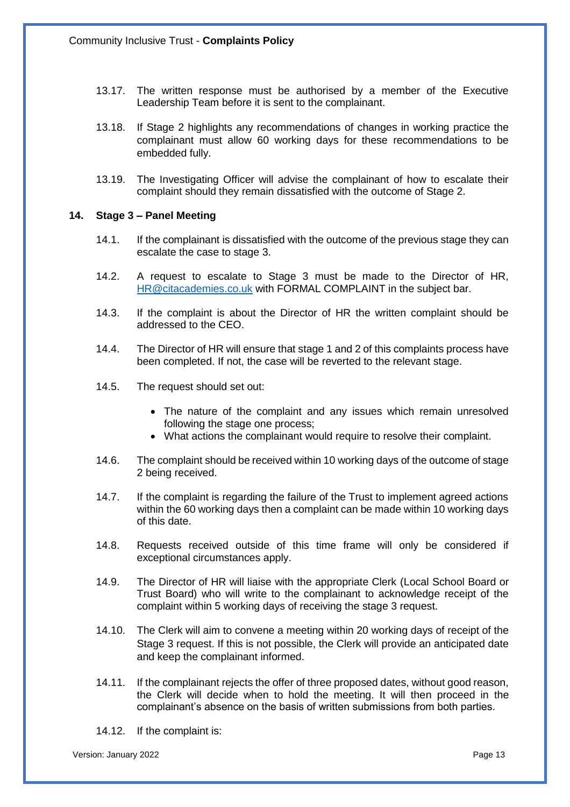- 13.17. The written response must be authorised by a member of the Executive Leadership Team before it is sent to the complainant.
- 13.18. If Stage 2 highlights any recommendations of changes in working practice the complainant must allow 60 working days for these recommendations to be embedded fully.
- 13.19. The Investigating Officer will advise the complainant of how to escalate their complaint should they remain dissatisfied with the outcome of Stage 2.

#### **14. Stage 3 – Panel Meeting**

- 14.1. If the complainant is dissatisfied with the outcome of the previous stage they can escalate the case to stage 3.
- 14.2. A request to escalate to Stage 3 must be made to the Director of HR, [HR@citacademies.co.uk](mailto:HR@citacademies.co.uk) with FORMAL COMPLAINT in the subject bar.
- 14.3. If the complaint is about the Director of HR the written complaint should be addressed to the CEO.
- 14.4. The Director of HR will ensure that stage 1 and 2 of this complaints process have been completed. If not, the case will be reverted to the relevant stage.
- 14.5. The request should set out:
	- The nature of the complaint and any issues which remain unresolved following the stage one process;
	- What actions the complainant would require to resolve their complaint.
- 14.6. The complaint should be received within 10 working days of the outcome of stage 2 being received.
- 14.7. If the complaint is regarding the failure of the Trust to implement agreed actions within the 60 working days then a complaint can be made within 10 working days of this date.
- 14.8. Requests received outside of this time frame will only be considered if exceptional circumstances apply.
- 14.9. The Director of HR will liaise with the appropriate Clerk (Local School Board or Trust Board) who will write to the complainant to acknowledge receipt of the complaint within 5 working days of receiving the stage 3 request.
- 14.10. The Clerk will aim to convene a meeting within 20 working days of receipt of the Stage 3 request. If this is not possible, the Clerk will provide an anticipated date and keep the complainant informed.
- 14.11. If the complainant rejects the offer of three proposed dates, without good reason, the Clerk will decide when to hold the meeting. It will then proceed in the complainant's absence on the basis of written submissions from both parties.
- 14.12. If the complaint is:

Version: January 2022 Page 13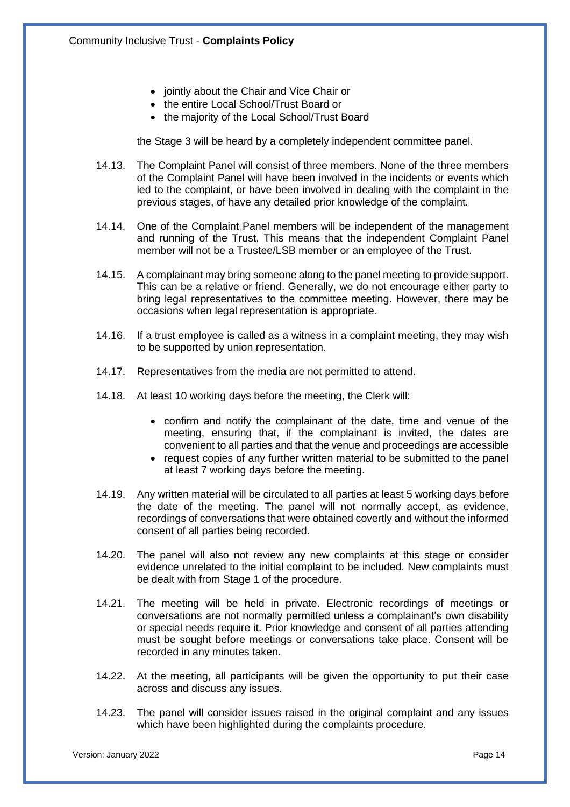- jointly about the Chair and Vice Chair or
- the entire Local School/Trust Board or
- the majority of the Local School/Trust Board

the Stage 3 will be heard by a completely independent committee panel.

- 14.13. The Complaint Panel will consist of three members. None of the three members of the Complaint Panel will have been involved in the incidents or events which led to the complaint, or have been involved in dealing with the complaint in the previous stages, of have any detailed prior knowledge of the complaint.
- 14.14. One of the Complaint Panel members will be independent of the management and running of the Trust. This means that the independent Complaint Panel member will not be a Trustee/LSB member or an employee of the Trust.
- 14.15. A complainant may bring someone along to the panel meeting to provide support. This can be a relative or friend. Generally, we do not encourage either party to bring legal representatives to the committee meeting. However, there may be occasions when legal representation is appropriate.
- 14.16. If a trust employee is called as a witness in a complaint meeting, they may wish to be supported by union representation.
- 14.17. Representatives from the media are not permitted to attend.
- 14.18. At least 10 working days before the meeting, the Clerk will:
	- confirm and notify the complainant of the date, time and venue of the meeting, ensuring that, if the complainant is invited, the dates are convenient to all parties and that the venue and proceedings are accessible
	- request copies of any further written material to be submitted to the panel at least 7 working days before the meeting.
- 14.19. Any written material will be circulated to all parties at least 5 working days before the date of the meeting. The panel will not normally accept, as evidence, recordings of conversations that were obtained covertly and without the informed consent of all parties being recorded.
- 14.20. The panel will also not review any new complaints at this stage or consider evidence unrelated to the initial complaint to be included. New complaints must be dealt with from Stage 1 of the procedure.
- 14.21. The meeting will be held in private. Electronic recordings of meetings or conversations are not normally permitted unless a complainant's own disability or special needs require it. Prior knowledge and consent of all parties attending must be sought before meetings or conversations take place. Consent will be recorded in any minutes taken.
- 14.22. At the meeting, all participants will be given the opportunity to put their case across and discuss any issues.
- 14.23. The panel will consider issues raised in the original complaint and any issues which have been highlighted during the complaints procedure.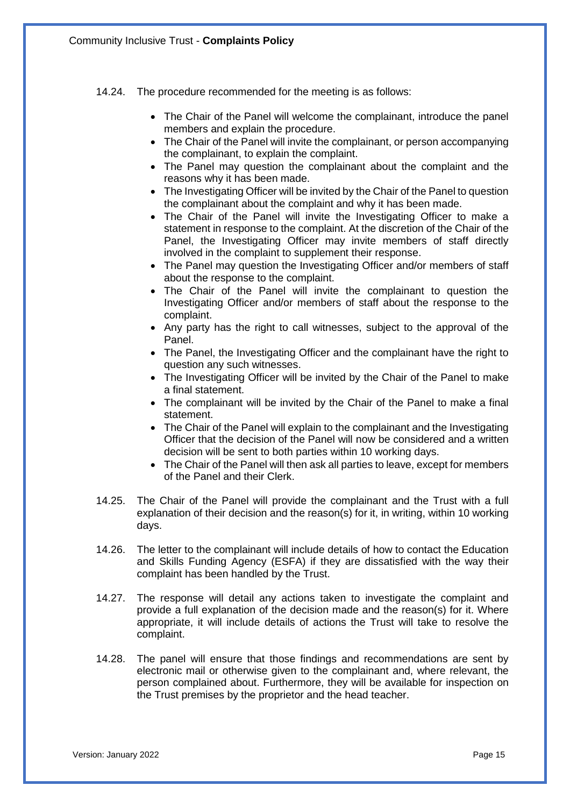- 14.24. The procedure recommended for the meeting is as follows:
	- The Chair of the Panel will welcome the complainant, introduce the panel members and explain the procedure.
	- The Chair of the Panel will invite the complainant, or person accompanying the complainant, to explain the complaint.
	- The Panel may question the complainant about the complaint and the reasons why it has been made.
	- The Investigating Officer will be invited by the Chair of the Panel to question the complainant about the complaint and why it has been made.
	- The Chair of the Panel will invite the Investigating Officer to make a statement in response to the complaint. At the discretion of the Chair of the Panel, the Investigating Officer may invite members of staff directly involved in the complaint to supplement their response.
	- The Panel may question the Investigating Officer and/or members of staff about the response to the complaint.
	- The Chair of the Panel will invite the complainant to question the Investigating Officer and/or members of staff about the response to the complaint.
	- Any party has the right to call witnesses, subject to the approval of the Panel.
	- The Panel, the Investigating Officer and the complainant have the right to question any such witnesses.
	- The Investigating Officer will be invited by the Chair of the Panel to make a final statement.
	- The complainant will be invited by the Chair of the Panel to make a final statement.
	- The Chair of the Panel will explain to the complainant and the Investigating Officer that the decision of the Panel will now be considered and a written decision will be sent to both parties within 10 working days.
	- The Chair of the Panel will then ask all parties to leave, except for members of the Panel and their Clerk.
- 14.25. The Chair of the Panel will provide the complainant and the Trust with a full explanation of their decision and the reason(s) for it, in writing, within 10 working days.
- 14.26. The letter to the complainant will include details of how to contact the Education and Skills Funding Agency (ESFA) if they are dissatisfied with the way their complaint has been handled by the Trust.
- 14.27. The response will detail any actions taken to investigate the complaint and provide a full explanation of the decision made and the reason(s) for it. Where appropriate, it will include details of actions the Trust will take to resolve the complaint.
- 14.28. The panel will ensure that those findings and recommendations are sent by electronic mail or otherwise given to the complainant and, where relevant, the person complained about. Furthermore, they will be available for inspection on the Trust premises by the proprietor and the head teacher.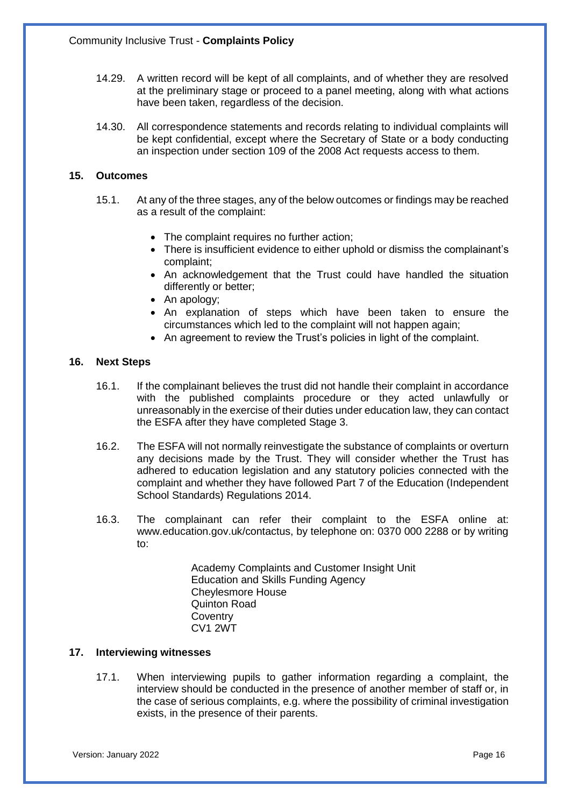- 14.29. A written record will be kept of all complaints, and of whether they are resolved at the preliminary stage or proceed to a panel meeting, along with what actions have been taken, regardless of the decision.
- 14.30. All correspondence statements and records relating to individual complaints will be kept confidential, except where the Secretary of State or a body conducting an inspection under section 109 of the 2008 Act requests access to them.

#### **15. Outcomes**

- 15.1. At any of the three stages, any of the below outcomes or findings may be reached as a result of the complaint:
	- The complaint requires no further action;
	- There is insufficient evidence to either uphold or dismiss the complainant's complaint;
	- An acknowledgement that the Trust could have handled the situation differently or better;
	- An apology;
	- An explanation of steps which have been taken to ensure the circumstances which led to the complaint will not happen again;
	- An agreement to review the Trust's policies in light of the complaint.

#### **16. Next Steps**

- 16.1. If the complainant believes the trust did not handle their complaint in accordance with the published complaints procedure or they acted unlawfully or unreasonably in the exercise of their duties under education law, they can contact the ESFA after they have completed Stage 3.
- 16.2. The ESFA will not normally reinvestigate the substance of complaints or overturn any decisions made by the Trust. They will consider whether the Trust has adhered to education legislation and any statutory policies connected with the complaint and whether they have followed Part 7 of the Education (Independent School Standards) Regulations 2014.
- 16.3. The complainant can refer their complaint to the ESFA online at: www.education.gov.uk/contactus, by telephone on: 0370 000 2288 or by writing to:

Academy Complaints and Customer Insight Unit Education and Skills Funding Agency Cheylesmore House Quinton Road **Coventry** CV1 2WT

#### **17. Interviewing witnesses**

17.1. When interviewing pupils to gather information regarding a complaint, the interview should be conducted in the presence of another member of staff or, in the case of serious complaints, e.g. where the possibility of criminal investigation exists, in the presence of their parents.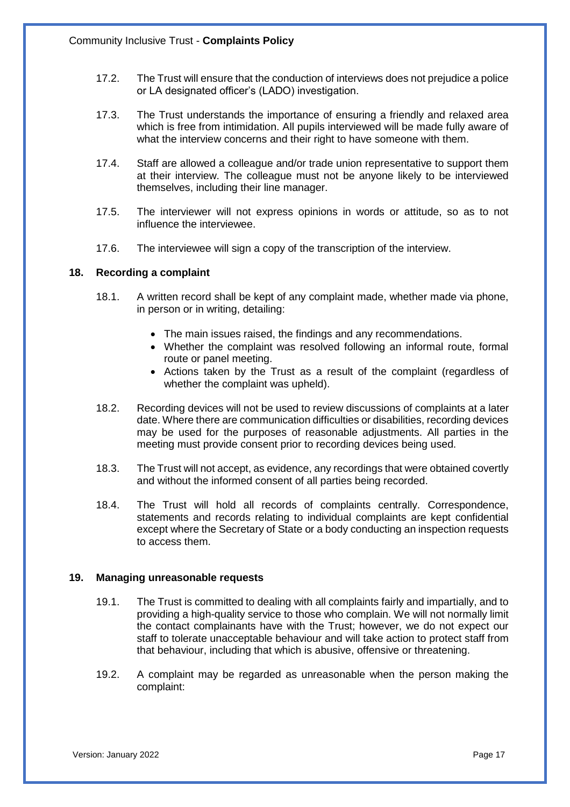- 17.2. The Trust will ensure that the conduction of interviews does not prejudice a police or LA designated officer's (LADO) investigation.
- 17.3. The Trust understands the importance of ensuring a friendly and relaxed area which is free from intimidation. All pupils interviewed will be made fully aware of what the interview concerns and their right to have someone with them.
- 17.4. Staff are allowed a colleague and/or trade union representative to support them at their interview. The colleague must not be anyone likely to be interviewed themselves, including their line manager.
- 17.5. The interviewer will not express opinions in words or attitude, so as to not influence the interviewee.
- 17.6. The interviewee will sign a copy of the transcription of the interview.

#### **18. Recording a complaint**

- 18.1. A written record shall be kept of any complaint made, whether made via phone, in person or in writing, detailing:
	- The main issues raised, the findings and any recommendations.
	- Whether the complaint was resolved following an informal route, formal route or panel meeting.
	- Actions taken by the Trust as a result of the complaint (regardless of whether the complaint was upheld).
- 18.2. Recording devices will not be used to review discussions of complaints at a later date. Where there are communication difficulties or disabilities, recording devices may be used for the purposes of reasonable adjustments. All parties in the meeting must provide consent prior to recording devices being used.
- 18.3. The Trust will not accept, as evidence, any recordings that were obtained covertly and without the informed consent of all parties being recorded.
- 18.4. The Trust will hold all records of complaints centrally. Correspondence, statements and records relating to individual complaints are kept confidential except where the Secretary of State or a body conducting an inspection requests to access them.

#### **19. Managing unreasonable requests**

- 19.1. The Trust is committed to dealing with all complaints fairly and impartially, and to providing a high-quality service to those who complain. We will not normally limit the contact complainants have with the Trust; however, we do not expect our staff to tolerate unacceptable behaviour and will take action to protect staff from that behaviour, including that which is abusive, offensive or threatening.
- 19.2. A complaint may be regarded as unreasonable when the person making the complaint: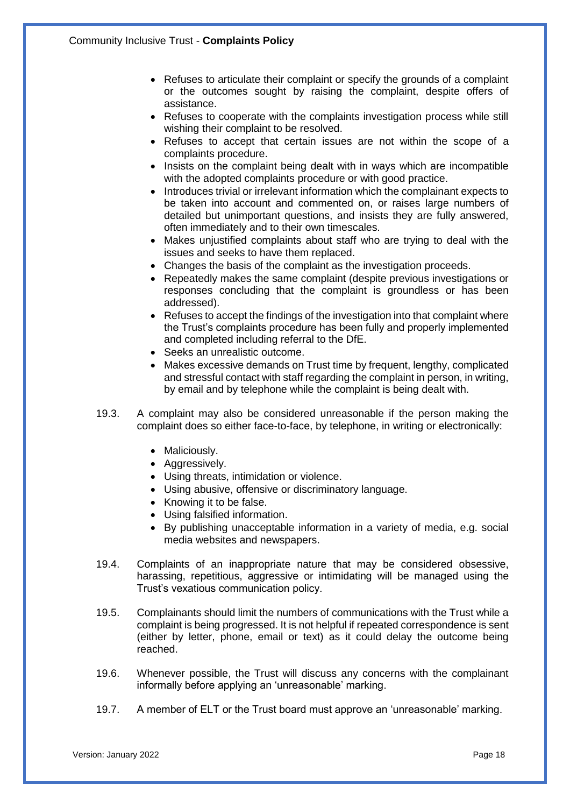- Refuses to articulate their complaint or specify the grounds of a complaint or the outcomes sought by raising the complaint, despite offers of assistance.
- Refuses to cooperate with the complaints investigation process while still wishing their complaint to be resolved.
- Refuses to accept that certain issues are not within the scope of a complaints procedure.
- Insists on the complaint being dealt with in ways which are incompatible with the adopted complaints procedure or with good practice.
- Introduces trivial or irrelevant information which the complainant expects to be taken into account and commented on, or raises large numbers of detailed but unimportant questions, and insists they are fully answered, often immediately and to their own timescales.
- Makes unjustified complaints about staff who are trying to deal with the issues and seeks to have them replaced.
- Changes the basis of the complaint as the investigation proceeds.
- Repeatedly makes the same complaint (despite previous investigations or responses concluding that the complaint is groundless or has been addressed).
- Refuses to accept the findings of the investigation into that complaint where the Trust's complaints procedure has been fully and properly implemented and completed including referral to the DfE.
- Seeks an unrealistic outcome.
- Makes excessive demands on Trust time by frequent, lengthy, complicated and stressful contact with staff regarding the complaint in person, in writing, by email and by telephone while the complaint is being dealt with.
- 19.3. A complaint may also be considered unreasonable if the person making the complaint does so either face-to-face, by telephone, in writing or electronically:
	- Maliciously.
	- Aggressively.
	- Using threats, intimidation or violence.
	- Using abusive, offensive or discriminatory language.
	- Knowing it to be false.
	- Using falsified information.
	- By publishing unacceptable information in a variety of media, e.g. social media websites and newspapers.
- 19.4. Complaints of an inappropriate nature that may be considered obsessive, harassing, repetitious, aggressive or intimidating will be managed using the Trust's vexatious communication policy.
- 19.5. Complainants should limit the numbers of communications with the Trust while a complaint is being progressed. It is not helpful if repeated correspondence is sent (either by letter, phone, email or text) as it could delay the outcome being reached.
- 19.6. Whenever possible, the Trust will discuss any concerns with the complainant informally before applying an 'unreasonable' marking.
- 19.7. A member of ELT or the Trust board must approve an 'unreasonable' marking.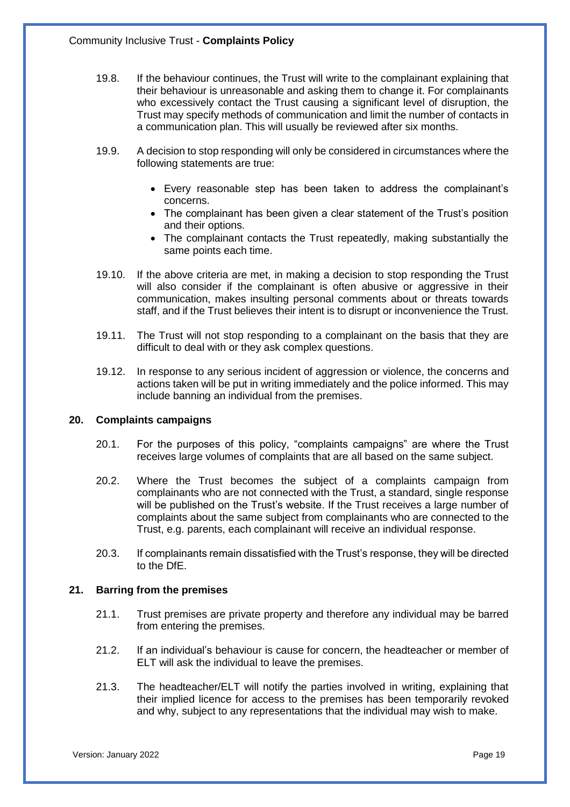- 19.8. If the behaviour continues, the Trust will write to the complainant explaining that their behaviour is unreasonable and asking them to change it. For complainants who excessively contact the Trust causing a significant level of disruption, the Trust may specify methods of communication and limit the number of contacts in a communication plan. This will usually be reviewed after six months.
- 19.9. A decision to stop responding will only be considered in circumstances where the following statements are true:
	- Every reasonable step has been taken to address the complainant's concerns.
	- The complainant has been given a clear statement of the Trust's position and their options.
	- The complainant contacts the Trust repeatedly, making substantially the same points each time.
- 19.10. If the above criteria are met, in making a decision to stop responding the Trust will also consider if the complainant is often abusive or aggressive in their communication, makes insulting personal comments about or threats towards staff, and if the Trust believes their intent is to disrupt or inconvenience the Trust.
- 19.11. The Trust will not stop responding to a complainant on the basis that they are difficult to deal with or they ask complex questions.
- 19.12. In response to any serious incident of aggression or violence, the concerns and actions taken will be put in writing immediately and the police informed. This may include banning an individual from the premises.

#### **20. Complaints campaigns**

- 20.1. For the purposes of this policy, "complaints campaigns" are where the Trust receives large volumes of complaints that are all based on the same subject.
- 20.2. Where the Trust becomes the subject of a complaints campaign from complainants who are not connected with the Trust, a standard, single response will be published on the Trust's website. If the Trust receives a large number of complaints about the same subject from complainants who are connected to the Trust, e.g. parents, each complainant will receive an individual response.
- 20.3. If complainants remain dissatisfied with the Trust's response, they will be directed to the DfE.

#### **21. Barring from the premises**

- 21.1. Trust premises are private property and therefore any individual may be barred from entering the premises.
- 21.2. If an individual's behaviour is cause for concern, the headteacher or member of ELT will ask the individual to leave the premises.
- 21.3. The headteacher/ELT will notify the parties involved in writing, explaining that their implied licence for access to the premises has been temporarily revoked and why, subject to any representations that the individual may wish to make.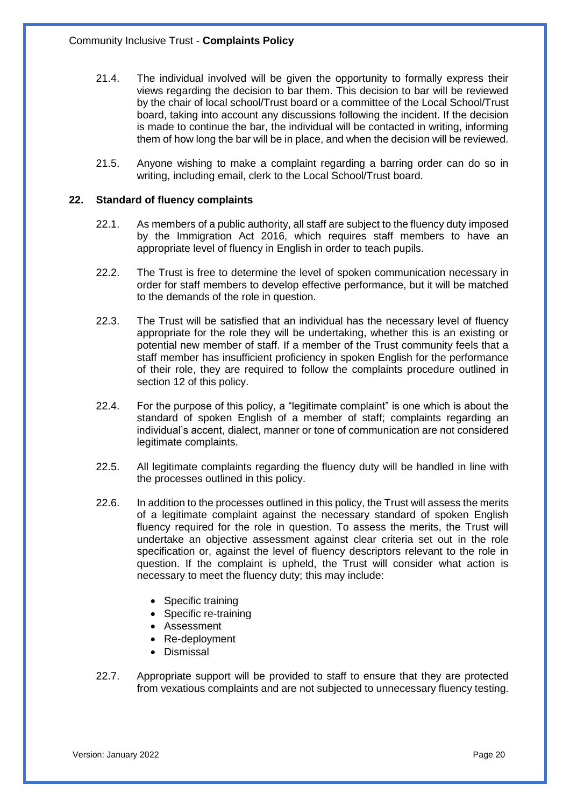- 21.4. The individual involved will be given the opportunity to formally express their views regarding the decision to bar them. This decision to bar will be reviewed by the chair of local school/Trust board or a committee of the Local School/Trust board, taking into account any discussions following the incident. If the decision is made to continue the bar, the individual will be contacted in writing, informing them of how long the bar will be in place, and when the decision will be reviewed.
- 21.5. Anyone wishing to make a complaint regarding a barring order can do so in writing, including email, clerk to the Local School/Trust board.

#### **22. Standard of fluency complaints**

- 22.1. As members of a public authority, all staff are subject to the fluency duty imposed by the Immigration Act 2016, which requires staff members to have an appropriate level of fluency in English in order to teach pupils.
- 22.2. The Trust is free to determine the level of spoken communication necessary in order for staff members to develop effective performance, but it will be matched to the demands of the role in question.
- 22.3. The Trust will be satisfied that an individual has the necessary level of fluency appropriate for the role they will be undertaking, whether this is an existing or potential new member of staff. If a member of the Trust community feels that a staff member has insufficient proficiency in spoken English for the performance of their role, they are required to follow the complaints procedure outlined in section 12 of this policy.
- 22.4. For the purpose of this policy, a "legitimate complaint" is one which is about the standard of spoken English of a member of staff; complaints regarding an individual's accent, dialect, manner or tone of communication are not considered legitimate complaints.
- 22.5. All legitimate complaints regarding the fluency duty will be handled in line with the processes outlined in this policy.
- 22.6. In addition to the processes outlined in this policy, the Trust will assess the merits of a legitimate complaint against the necessary standard of spoken English fluency required for the role in question. To assess the merits, the Trust will undertake an objective assessment against clear criteria set out in the role specification or, against the level of fluency descriptors relevant to the role in question. If the complaint is upheld, the Trust will consider what action is necessary to meet the fluency duty; this may include:
	- Specific training
	- Specific re-training
	- Assessment
	- Re-deployment
	- Dismissal
- 22.7. Appropriate support will be provided to staff to ensure that they are protected from vexatious complaints and are not subjected to unnecessary fluency testing.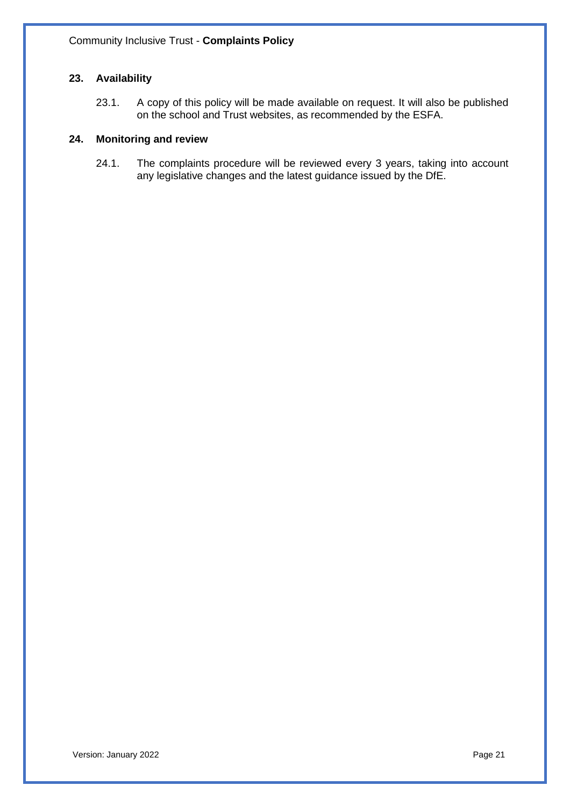# **23. Availability**

23.1. A copy of this policy will be made available on request. It will also be published on the school and Trust websites, as recommended by the ESFA.

#### **24. Monitoring and review**

24.1. The complaints procedure will be reviewed every 3 years, taking into account any legislative changes and the latest guidance issued by the DfE.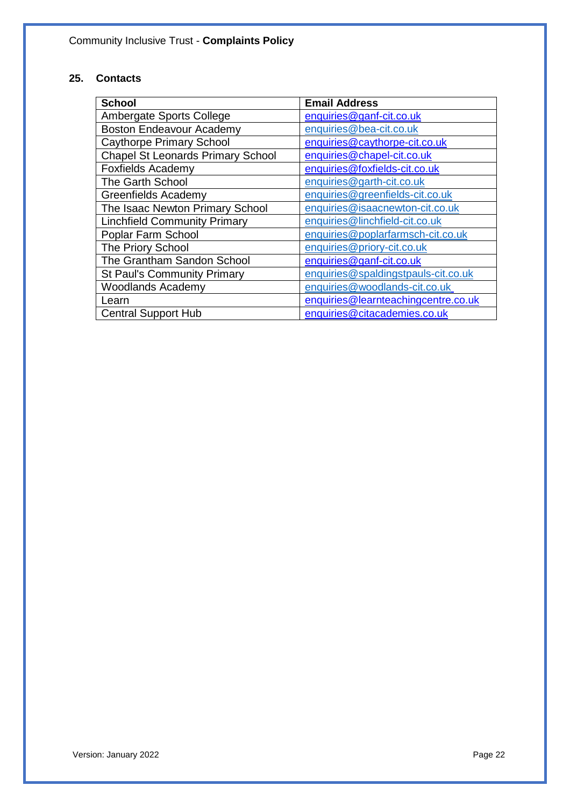# **25. Contacts**

| <b>School</b>                            | <b>Email Address</b>                |
|------------------------------------------|-------------------------------------|
| Ambergate Sports College                 | enquiries@ganf-cit.co.uk            |
| <b>Boston Endeavour Academy</b>          | enquiries@bea-cit.co.uk             |
| <b>Caythorpe Primary School</b>          | enquiries@caythorpe-cit.co.uk       |
| <b>Chapel St Leonards Primary School</b> | enquiries@chapel-cit.co.uk          |
| <b>Foxfields Academy</b>                 | enquiries@foxfields-cit.co.uk       |
| The Garth School                         | enquiries@garth-cit.co.uk           |
| <b>Greenfields Academy</b>               | enquiries@greenfields-cit.co.uk     |
| The Isaac Newton Primary School          | enquiries@isaacnewton-cit.co.uk     |
| <b>Linchfield Community Primary</b>      | enquiries@linchfield-cit.co.uk      |
| Poplar Farm School                       | enquiries@poplarfarmsch-cit.co.uk   |
| The Priory School                        | enquiries@priory-cit.co.uk          |
| The Grantham Sandon School               | enquiries@ganf-cit.co.uk            |
| <b>St Paul's Community Primary</b>       | enquiries@spaldingstpauls-cit.co.uk |
| <b>Woodlands Academy</b>                 | enquiries@woodlands-cit.co.uk       |
| Learn                                    | enquiries@learnteachingcentre.co.uk |
| <b>Central Support Hub</b>               | enquiries@citacademies.co.uk        |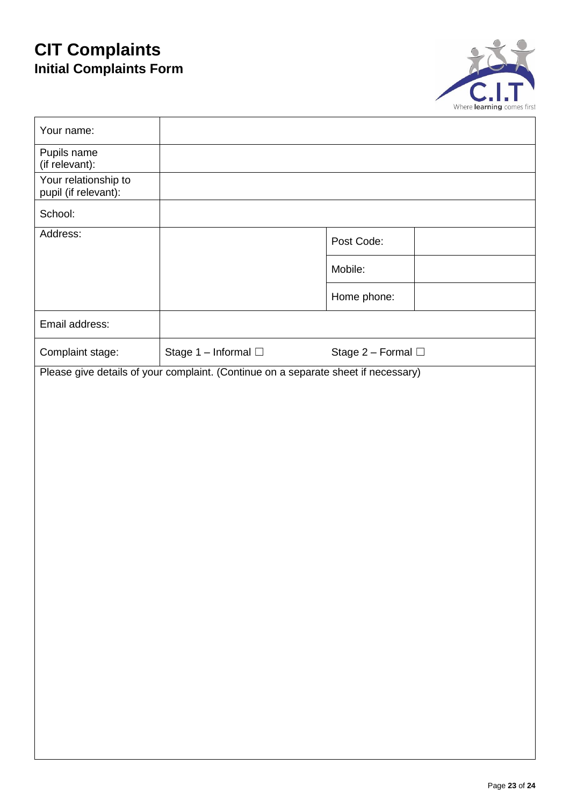# **CIT Complaints Initial Complaints Form**